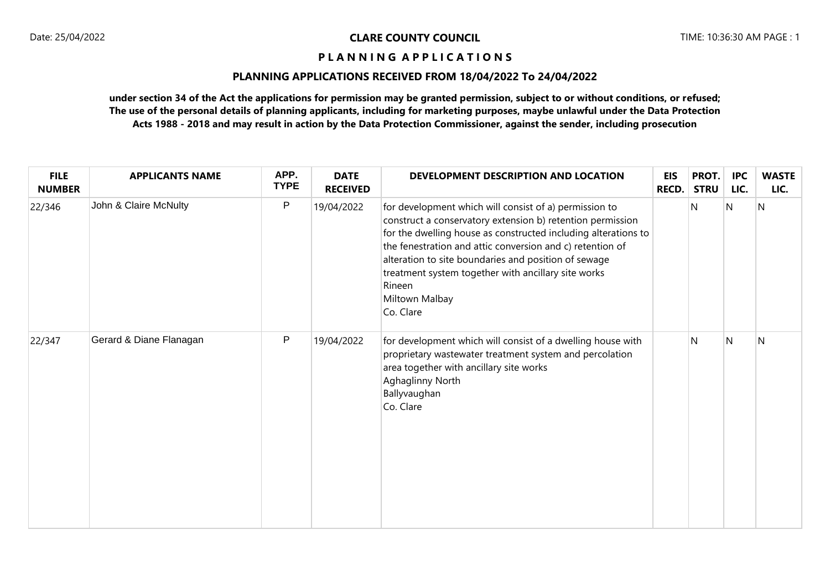# **PLANNING APPLICATIONS RECEIVED FROM 18/04/2022 To 24/04/2022**

| <b>FILE</b><br><b>NUMBER</b> | <b>APPLICANTS NAME</b>  | APP.<br><b>TYPE</b> | <b>DATE</b><br><b>RECEIVED</b> | DEVELOPMENT DESCRIPTION AND LOCATION                                                                                                                                                                                                                                                                                                                                                                        | <b>EIS</b><br>RECD. | PROT.<br><b>STRU</b> | <b>IPC</b><br>LIC. | <b>WASTE</b><br>LIC. |
|------------------------------|-------------------------|---------------------|--------------------------------|-------------------------------------------------------------------------------------------------------------------------------------------------------------------------------------------------------------------------------------------------------------------------------------------------------------------------------------------------------------------------------------------------------------|---------------------|----------------------|--------------------|----------------------|
| 22/346                       | John & Claire McNulty   | P                   | 19/04/2022                     | for development which will consist of a) permission to<br>construct a conservatory extension b) retention permission<br>for the dwelling house as constructed including alterations to<br>the fenestration and attic conversion and c) retention of<br>alteration to site boundaries and position of sewage<br>treatment system together with ancillary site works<br>Rineen<br>Miltown Malbay<br>Co. Clare |                     | N                    | N                  | N                    |
| 22/347                       | Gerard & Diane Flanagan | P                   | 19/04/2022                     | for development which will consist of a dwelling house with<br>proprietary wastewater treatment system and percolation<br>area together with ancillary site works<br>Aghaglinny North<br>Ballyvaughan<br>Co. Clare                                                                                                                                                                                          |                     | N                    | N                  | N                    |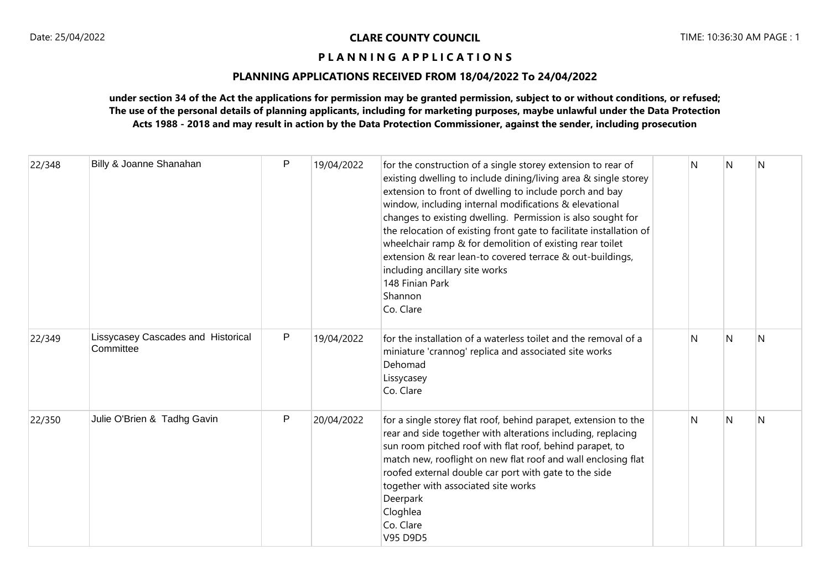## **PLANNING APPLICATIONS RECEIVED FROM 18/04/2022 To 24/04/2022**

| 22/348 | Billy & Joanne Shanahan                         | $\mathsf{P}$ | 19/04/2022 | for the construction of a single storey extension to rear of<br>existing dwelling to include dining/living area & single storey<br>extension to front of dwelling to include porch and bay<br>window, including internal modifications & elevational<br>changes to existing dwelling. Permission is also sought for<br>the relocation of existing front gate to facilitate installation of<br>wheelchair ramp & for demolition of existing rear toilet<br>extension & rear lean-to covered terrace & out-buildings,<br>including ancillary site works<br>148 Finian Park<br>Shannon<br>Co. Clare | N | N | N |
|--------|-------------------------------------------------|--------------|------------|--------------------------------------------------------------------------------------------------------------------------------------------------------------------------------------------------------------------------------------------------------------------------------------------------------------------------------------------------------------------------------------------------------------------------------------------------------------------------------------------------------------------------------------------------------------------------------------------------|---|---|---|
| 22/349 | Lissycasey Cascades and Historical<br>Committee | $\mathsf{P}$ | 19/04/2022 | for the installation of a waterless toilet and the removal of a<br>miniature 'crannog' replica and associated site works<br>Dehomad<br>Lissycasey<br>Co. Clare                                                                                                                                                                                                                                                                                                                                                                                                                                   | N | N | N |
| 22/350 | Julie O'Brien & Tadhg Gavin                     | P            | 20/04/2022 | for a single storey flat roof, behind parapet, extension to the<br>rear and side together with alterations including, replacing<br>sun room pitched roof with flat roof, behind parapet, to<br>match new, rooflight on new flat roof and wall enclosing flat<br>roofed external double car port with gate to the side<br>together with associated site works<br>Deerpark<br>Cloghlea<br>Co. Clare<br>V95 D9D5                                                                                                                                                                                    | N | N | N |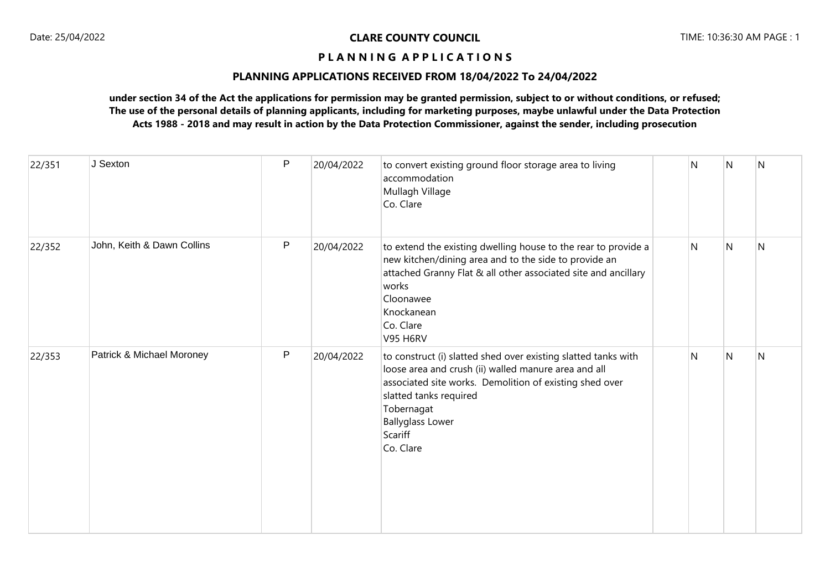## **PLANNING APPLICATIONS RECEIVED FROM 18/04/2022 To 24/04/2022**

| 22/351 | J Sexton                   | $\mathsf{P}$ | 20/04/2022 | to convert existing ground floor storage area to living<br>accommodation<br>Mullagh Village<br>Co. Clare                                                                                                                                                                     | N | N | N |
|--------|----------------------------|--------------|------------|------------------------------------------------------------------------------------------------------------------------------------------------------------------------------------------------------------------------------------------------------------------------------|---|---|---|
| 22/352 | John, Keith & Dawn Collins | $\mathsf{P}$ | 20/04/2022 | to extend the existing dwelling house to the rear to provide a<br>new kitchen/dining area and to the side to provide an<br>attached Granny Flat & all other associated site and ancillary<br>works<br>Cloonawee<br>Knockanean<br>Co. Clare<br><b>V95 H6RV</b>                | N | N | N |
| 22/353 | Patrick & Michael Moroney  | P            | 20/04/2022 | to construct (i) slatted shed over existing slatted tanks with<br>loose area and crush (ii) walled manure area and all<br>associated site works. Demolition of existing shed over<br>slatted tanks required<br>Tobernagat<br><b>Ballyglass Lower</b><br>Scariff<br>Co. Clare | N | N | N |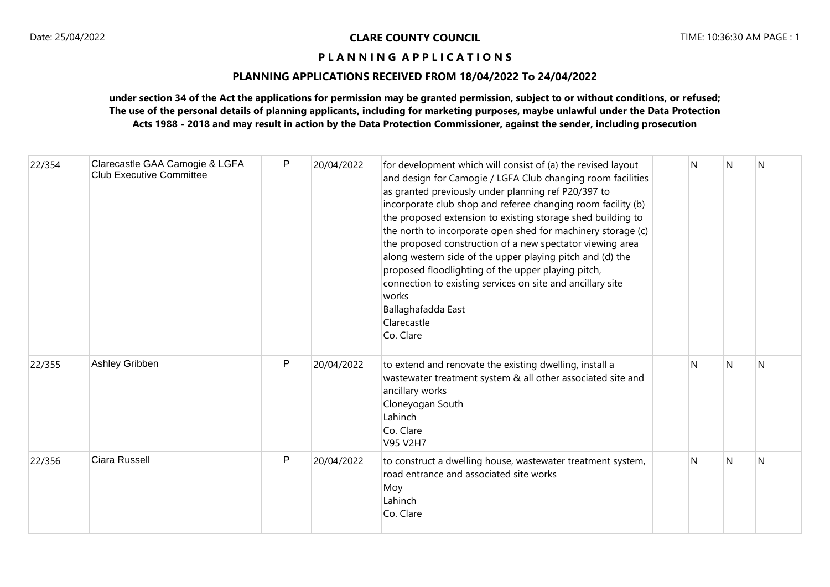# **PLANNING APPLICATIONS RECEIVED FROM 18/04/2022 To 24/04/2022**

| 22/354 | Clarecastle GAA Camogie & LGFA<br><b>Club Executive Committee</b> | P | 20/04/2022 | for development which will consist of (a) the revised layout<br>and design for Camogie / LGFA Club changing room facilities<br>as granted previously under planning ref P20/397 to<br>incorporate club shop and referee changing room facility (b)<br>the proposed extension to existing storage shed building to<br>the north to incorporate open shed for machinery storage (c)<br>the proposed construction of a new spectator viewing area<br>along western side of the upper playing pitch and (d) the<br>proposed floodlighting of the upper playing pitch,<br>connection to existing services on site and ancillary site<br>works<br>Ballaghafadda East<br>Clarecastle<br>Co. Clare | N | N | N |
|--------|-------------------------------------------------------------------|---|------------|--------------------------------------------------------------------------------------------------------------------------------------------------------------------------------------------------------------------------------------------------------------------------------------------------------------------------------------------------------------------------------------------------------------------------------------------------------------------------------------------------------------------------------------------------------------------------------------------------------------------------------------------------------------------------------------------|---|---|---|
| 22/355 | Ashley Gribben                                                    | P | 20/04/2022 | to extend and renovate the existing dwelling, install a<br>wastewater treatment system & all other associated site and<br>ancillary works<br>Cloneyogan South<br>Lahinch<br>Co. Clare<br>V95 V2H7                                                                                                                                                                                                                                                                                                                                                                                                                                                                                          | N | N | N |
| 22/356 | Ciara Russell                                                     | P | 20/04/2022 | to construct a dwelling house, wastewater treatment system,<br>road entrance and associated site works<br>Moy<br>Lahinch<br>Co. Clare                                                                                                                                                                                                                                                                                                                                                                                                                                                                                                                                                      | N | N | N |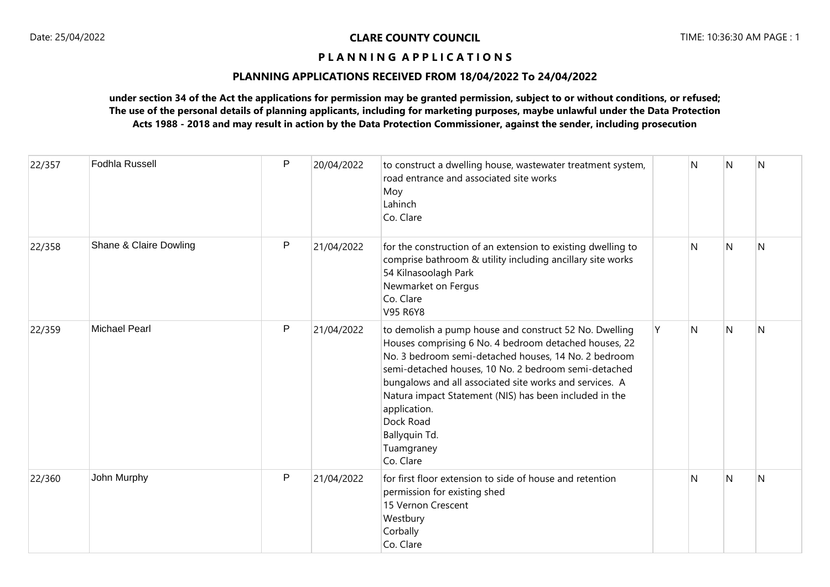## **PLANNING APPLICATIONS RECEIVED FROM 18/04/2022 To 24/04/2022**

| 22/357 | <b>Fodhla Russell</b>  | P | 20/04/2022 | to construct a dwelling house, wastewater treatment system,<br>road entrance and associated site works<br>Moy<br>Lahinch<br>Co. Clare                                                                                                                                                                                                                                                                                         |   | N | N            | N |
|--------|------------------------|---|------------|-------------------------------------------------------------------------------------------------------------------------------------------------------------------------------------------------------------------------------------------------------------------------------------------------------------------------------------------------------------------------------------------------------------------------------|---|---|--------------|---|
| 22/358 | Shane & Claire Dowling | P | 21/04/2022 | for the construction of an extension to existing dwelling to<br>comprise bathroom & utility including ancillary site works<br>54 Kilnasoolagh Park<br>Newmarket on Fergus<br>Co. Clare<br>V95 R6Y8                                                                                                                                                                                                                            |   | N | $\mathsf{N}$ | N |
| 22/359 | <b>Michael Pearl</b>   | P | 21/04/2022 | to demolish a pump house and construct 52 No. Dwelling<br>Houses comprising 6 No. 4 bedroom detached houses, 22<br>No. 3 bedroom semi-detached houses, 14 No. 2 bedroom<br>semi-detached houses, 10 No. 2 bedroom semi-detached<br>bungalows and all associated site works and services. A<br>Natura impact Statement (NIS) has been included in the<br>application.<br>Dock Road<br>Ballyquin Td.<br>Tuamgraney<br>Co. Clare | Y | N | N            | N |
| 22/360 | John Murphy            | P | 21/04/2022 | for first floor extension to side of house and retention<br>permission for existing shed<br>15 Vernon Crescent<br>Westbury<br>Corbally<br>Co. Clare                                                                                                                                                                                                                                                                           |   | N | $\mathsf{N}$ | N |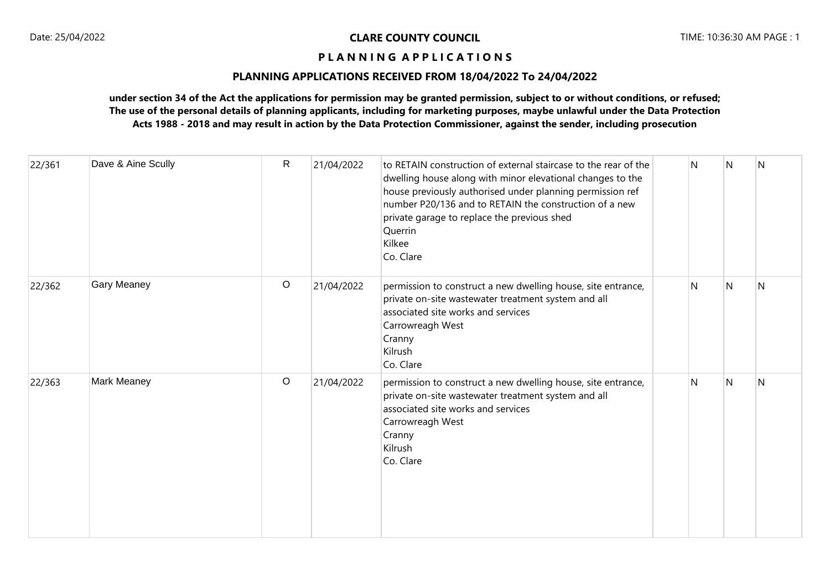## **PLANNING APPLICATIONS RECEIVED FROM 18/04/2022 To 24/04/2022**

| 22/361 | Dave & Aine Scully | $\mathsf{R}$ | 21/04/2022 | to RETAIN construction of external staircase to the rear of the<br>dwelling house along with minor elevational changes to the<br>house previously authorised under planning permission ref<br>number P20/136 and to RETAIN the construction of a new<br>private garage to replace the previous shed<br>Querrin<br>Kilkee<br>Co. Clare | N | l N            | N |
|--------|--------------------|--------------|------------|---------------------------------------------------------------------------------------------------------------------------------------------------------------------------------------------------------------------------------------------------------------------------------------------------------------------------------------|---|----------------|---|
| 22/362 | <b>Gary Meaney</b> | $\circ$      | 21/04/2022 | permission to construct a new dwelling house, site entrance,<br>private on-site wastewater treatment system and all<br>associated site works and services<br>Carrowreagh West<br>Cranny<br>Kilrush<br>Co. Clare                                                                                                                       | N | $\overline{N}$ | N |
| 22/363 | Mark Meaney        | $\circ$      | 21/04/2022 | permission to construct a new dwelling house, site entrance,<br>private on-site wastewater treatment system and all<br>associated site works and services<br>Carrowreagh West<br>Cranny<br>Kilrush<br>Co. Clare                                                                                                                       | N | N              | N |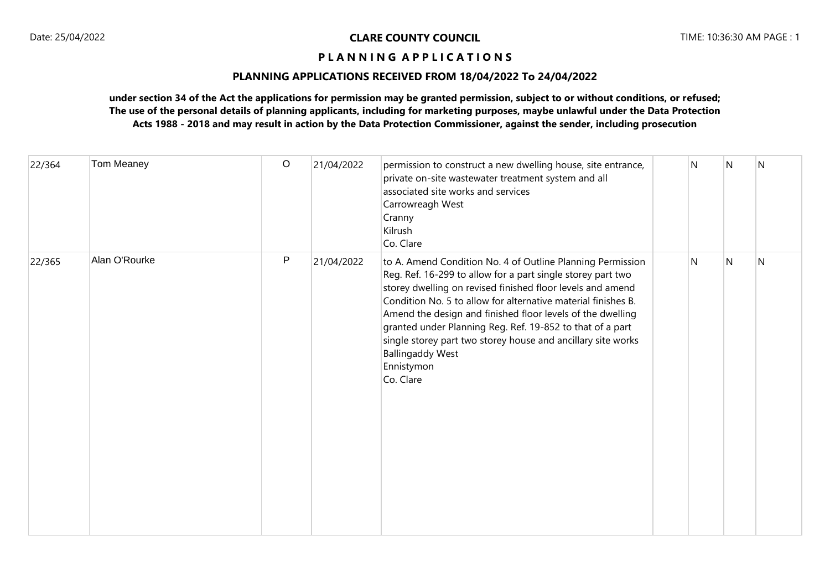## **PLANNING APPLICATIONS RECEIVED FROM 18/04/2022 To 24/04/2022**

| 22/364 | Tom Meaney    | $\circ$ | 21/04/2022 | permission to construct a new dwelling house, site entrance,<br>private on-site wastewater treatment system and all<br>associated site works and services<br>Carrowreagh West<br>Cranny<br>Kilrush<br>Co. Clare                                                                                                                                                                                                                                                                                           | N | N | $\overline{\mathsf{N}}$ |
|--------|---------------|---------|------------|-----------------------------------------------------------------------------------------------------------------------------------------------------------------------------------------------------------------------------------------------------------------------------------------------------------------------------------------------------------------------------------------------------------------------------------------------------------------------------------------------------------|---|---|-------------------------|
| 22/365 | Alan O'Rourke | P       | 21/04/2022 | to A. Amend Condition No. 4 of Outline Planning Permission<br>Reg. Ref. 16-299 to allow for a part single storey part two<br>storey dwelling on revised finished floor levels and amend<br>Condition No. 5 to allow for alternative material finishes B.<br>Amend the design and finished floor levels of the dwelling<br>granted under Planning Reg. Ref. 19-852 to that of a part<br>single storey part two storey house and ancillary site works<br><b>Ballingaddy West</b><br>Ennistymon<br>Co. Clare | N | N | N                       |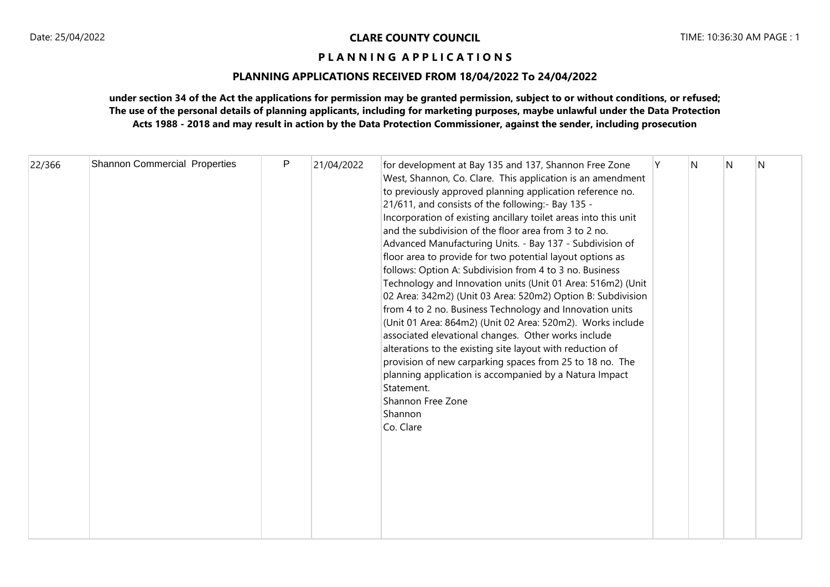# **PLANNING APPLICATIONS RECEIVED FROM 18/04/2022 To 24/04/2022**

| 22/366 | <b>Shannon Commercial Properties</b> |  | P | 21/04/2022 | for development at Bay 135 and 137, Shannon Free Zone<br>West, Shannon, Co. Clare. This application is an amendment<br>to previously approved planning application reference no.<br>21/611, and consists of the following:- Bay 135 -<br>Incorporation of existing ancillary toilet areas into this unit<br>and the subdivision of the floor area from 3 to 2 no.<br>Advanced Manufacturing Units. - Bay 137 - Subdivision of<br>floor area to provide for two potential layout options as<br>follows: Option A: Subdivision from 4 to 3 no. Business<br>Technology and Innovation units (Unit 01 Area: 516m2) (Unit<br>02 Area: 342m2) (Unit 03 Area: 520m2) Option B: Subdivision<br>from 4 to 2 no. Business Technology and Innovation units<br>(Unit 01 Area: 864m2) (Unit 02 Area: 520m2). Works include<br>associated elevational changes. Other works include<br>alterations to the existing site layout with reduction of<br>provision of new carparking spaces from 25 to 18 no. The<br>planning application is accompanied by a Natura Impact<br>Statement.<br>Shannon Free Zone<br>Shannon<br>Co. Clare |  | N | N | N |  |
|--------|--------------------------------------|--|---|------------|--------------------------------------------------------------------------------------------------------------------------------------------------------------------------------------------------------------------------------------------------------------------------------------------------------------------------------------------------------------------------------------------------------------------------------------------------------------------------------------------------------------------------------------------------------------------------------------------------------------------------------------------------------------------------------------------------------------------------------------------------------------------------------------------------------------------------------------------------------------------------------------------------------------------------------------------------------------------------------------------------------------------------------------------------------------------------------------------------------------------|--|---|---|---|--|
|--------|--------------------------------------|--|---|------------|--------------------------------------------------------------------------------------------------------------------------------------------------------------------------------------------------------------------------------------------------------------------------------------------------------------------------------------------------------------------------------------------------------------------------------------------------------------------------------------------------------------------------------------------------------------------------------------------------------------------------------------------------------------------------------------------------------------------------------------------------------------------------------------------------------------------------------------------------------------------------------------------------------------------------------------------------------------------------------------------------------------------------------------------------------------------------------------------------------------------|--|---|---|---|--|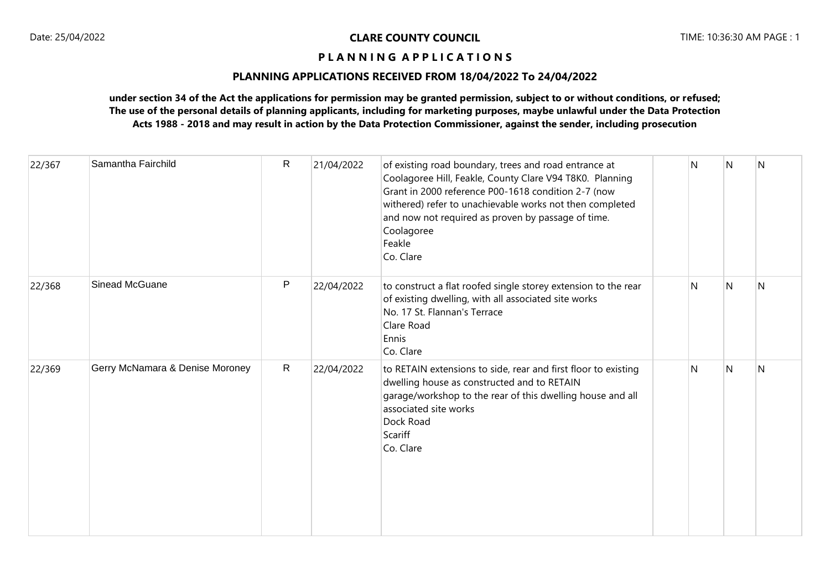## **PLANNING APPLICATIONS RECEIVED FROM 18/04/2022 To 24/04/2022**

| 22/367 | Samantha Fairchild              | R            | 21/04/2022 | of existing road boundary, trees and road entrance at<br>Coolagoree Hill, Feakle, County Clare V94 T8K0. Planning<br>Grant in 2000 reference P00-1618 condition 2-7 (now<br>withered) refer to unachievable works not then completed<br>and now not required as proven by passage of time.<br>Coolagoree<br>Feakle<br>Co. Clare | N | N | N |
|--------|---------------------------------|--------------|------------|---------------------------------------------------------------------------------------------------------------------------------------------------------------------------------------------------------------------------------------------------------------------------------------------------------------------------------|---|---|---|
| 22/368 | Sinead McGuane                  | P            | 22/04/2022 | to construct a flat roofed single storey extension to the rear<br>of existing dwelling, with all associated site works<br>No. 17 St. Flannan's Terrace<br>Clare Road<br>Ennis<br>Co. Clare                                                                                                                                      | N | N | N |
| 22/369 | Gerry McNamara & Denise Moroney | $\mathsf{R}$ | 22/04/2022 | to RETAIN extensions to side, rear and first floor to existing<br>dwelling house as constructed and to RETAIN<br>garage/workshop to the rear of this dwelling house and all<br>associated site works<br>Dock Road<br>Scariff<br>Co. Clare                                                                                       | N | N | N |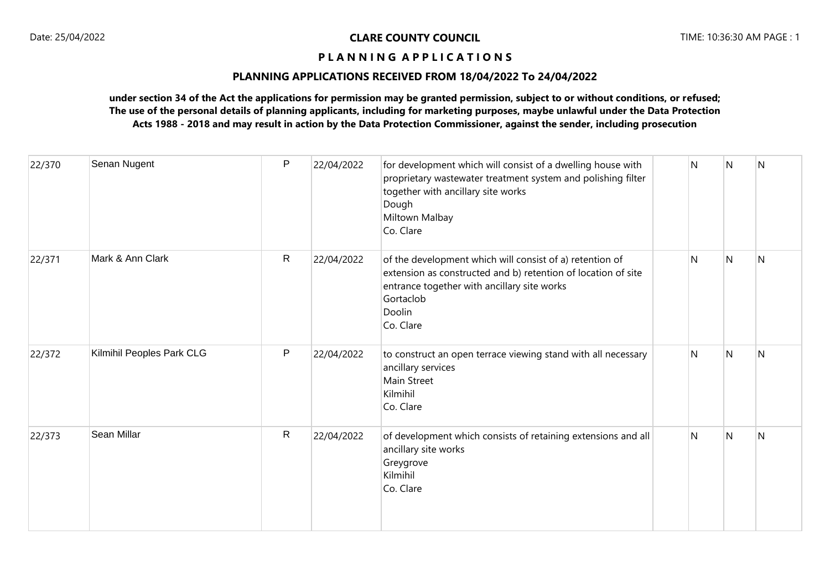## **PLANNING APPLICATIONS RECEIVED FROM 18/04/2022 To 24/04/2022**

| 22/370 | Senan Nugent              | P            | 22/04/2022 | for development which will consist of a dwelling house with<br>proprietary wastewater treatment system and polishing filter<br>together with ancillary site works<br>Dough<br>Miltown Malbay<br>Co. Clare    | N | $\mathsf{N}$ | N |
|--------|---------------------------|--------------|------------|--------------------------------------------------------------------------------------------------------------------------------------------------------------------------------------------------------------|---|--------------|---|
| 22/371 | Mark & Ann Clark          | $\mathsf{R}$ | 22/04/2022 | of the development which will consist of a) retention of<br>extension as constructed and b) retention of location of site<br>entrance together with ancillary site works<br>Gortaclob<br>Doolin<br>Co. Clare | N | $\mathsf{N}$ | N |
| 22/372 | Kilmihil Peoples Park CLG | P            | 22/04/2022 | to construct an open terrace viewing stand with all necessary<br>ancillary services<br>Main Street<br>Kilmihil<br>Co. Clare                                                                                  | N | $\mathsf{N}$ | N |
| 22/373 | Sean Millar               | $\mathsf{R}$ | 22/04/2022 | of development which consists of retaining extensions and all<br>ancillary site works<br>Greygrove<br>Kilmihil<br>Co. Clare                                                                                  | N | N            | N |